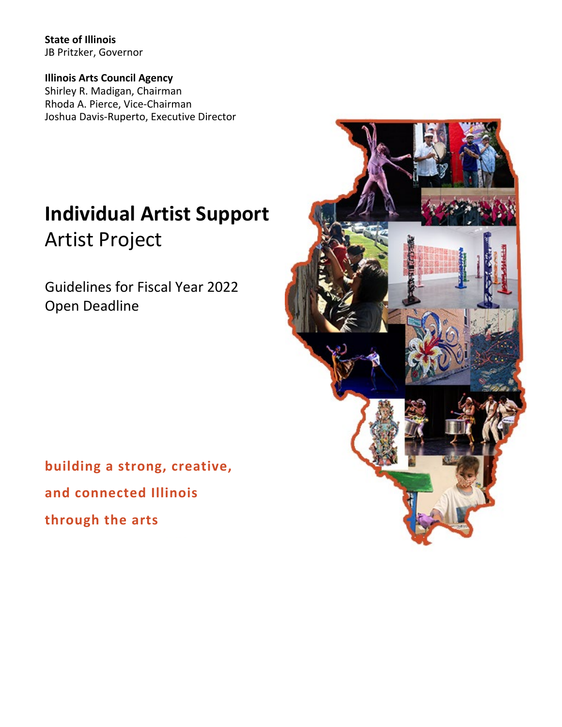**State of Illinois** JB Pritzker, Governor

**Illinois Arts Council Agency** Shirley R. Madigan, Chairman Rhoda A. Pierce, Vice-Chairman Joshua Davis-Ruperto, Executive Director

# **Individual Artist Support** Artist Project

Guidelines for Fiscal Year 2022 Open Deadline

**building a strong, creative, and connected Illinois through the arts**

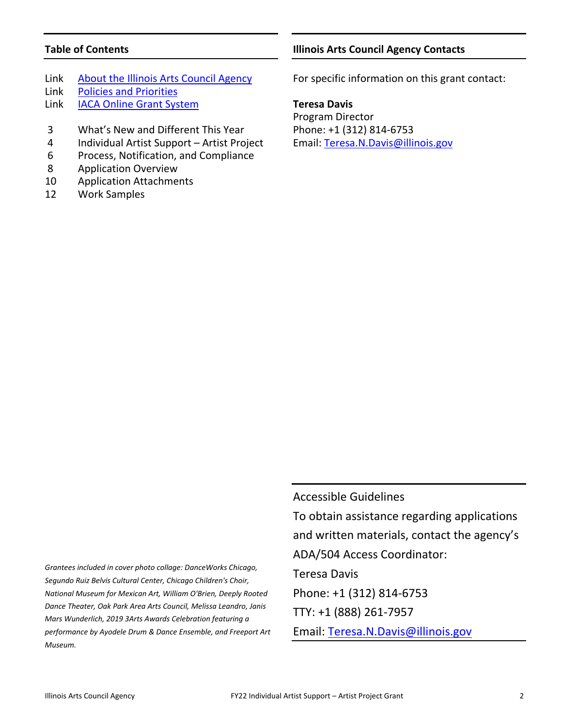# **Table of Contents**

- Link [About the Illinois Arts Council Agency](http://www.arts.illinois.gov/about-iaca)
- Link [Policies and Priorities](http://www.arts.illinois.gov/grants-programs/funding-programs/policies-priorities)
- Link [IACA Online Grant System](https://arts-illinois.force.com/)
- 3 What's New and Different This Year
- 4 Individual Artist Support Artist Project
- 6 Process, Notification, and Compliance
- 8 Application Overview
- 10 Application Attachments
- 12 Work Samples

# **Illinois Arts Council Agency Contacts**

For specific information on this grant contact:

**Teresa Davis**

Program Director Phone: +1 (312) 814-6753 Email: [Teresa.N.Davis@illinois.gov](mailto:Teresa.N.Davis@illinois.gov)

*Grantees included in cover photo collage: DanceWorks Chicago, Segundo Ruiz Belvis Cultural Center, Chicago Children's Choir, National Museum for Mexican Art, William O'Brien, Deeply Rooted Dance Theater, Oak Park Area Arts Council, Melissa Leandro, Janis Mars Wunderlich, 2019 3Arts Awards Celebration featuring a performance by Ayodele Drum & Dance Ensemble, and Freeport Art Museum.*

Accessible Guidelines To obtain assistance regarding applications and written materials, contact the agency's ADA/504 Access Coordinator: Teresa Davis Phone: +1 (312) 814-6753 TTY: +1 (888) 261-7957 Email: [Teresa.N.Davis@illinois.gov](mailto:teresa.n.davis@illinois.gov)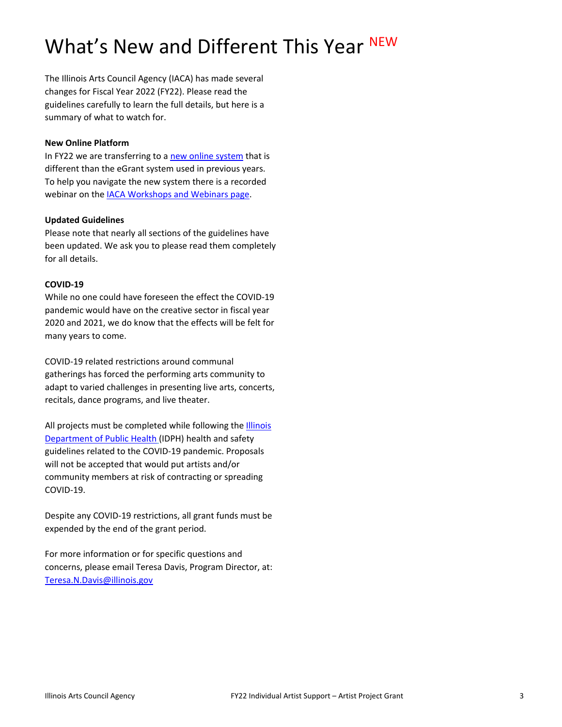# What's New and Different This Year NEW

The Illinois Arts Council Agency (IACA) has made several changes for Fiscal Year 2022 (FY22). Please read the guidelines carefully to learn the full details, but here is a summary of what to watch for.

#### **New Online Platform**

In FY22 we are transferring to [a new online system](https://arts-illinois.force.com/) that is different than the eGrant system used in previous years. To help you navigate the new system there is a recorded webinar on the [IACA Workshops and Webinars page.](https://arts.illinois.gov/Workshops%20%26%20Webinars)

# **Updated Guidelines**

Please note that nearly all sections of the guidelines have been updated. We ask you to please read them completely for all details.

#### **COVID-19**

While no one could have foreseen the effect the COVID-19 pandemic would have on the creative sector in fiscal year 2020 and 2021, we do know that the effects will be felt for many years to come.

COVID-19 related restrictions around communal gatherings has forced the performing arts community to adapt to varied challenges in presenting live arts, concerts, recitals, dance programs, and live theater.

All projects must be completed while following the [Illinois](https://www.dph.illinois.gov/covid19)  [Department of Public Health](https://www.dph.illinois.gov/covid19) (IDPH) health and safety guidelines related to the COVID-19 pandemic. Proposals will not be accepted that would put artists and/or community members at risk of contracting or spreading COVID-19.

Despite any COVID-19 restrictions, all grant funds must be expended by the end of the grant period.

For more information or for specific questions and concerns, please email Teresa Davis, Program Director, at: [Teresa.N.Davis@illinois.gov](mailto:Teresa.N.Davis@illinois.gov)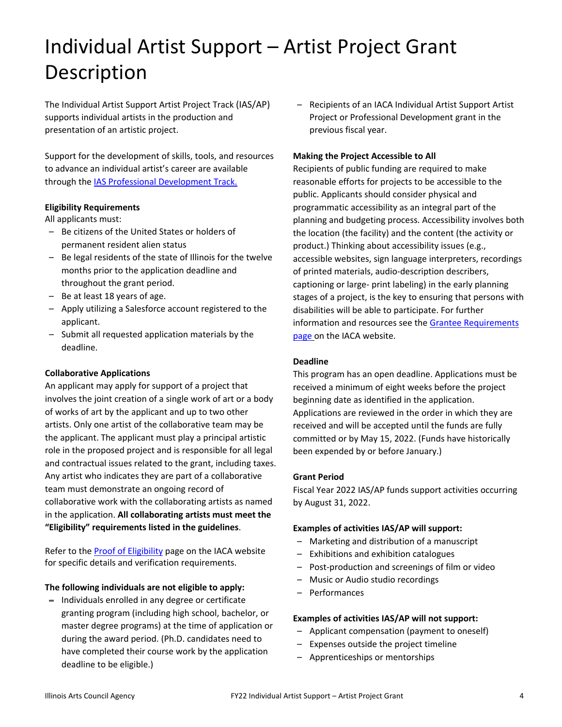# Individual Artist Support – Artist Project Grant Description

The Individual Artist Support Artist Project Track (IAS/AP) supports individual artists in the production and presentation of an artistic project.

Support for the development of skills, tools, and resources to advance an individual artist's career are available through the [IAS Professional Development Track.](http://www.arts.illinois.gov/Individual%20Artist%20Support)

#### **Eligibility Requirements**

All applicants must:

- Be citizens of the United States or holders of permanent resident alien status
- Be legal residents of the state of Illinois for the twelve months prior to the application deadline and throughout the grant period.
- Be at least 18 years of age.
- Apply utilizing a Salesforce account registered to the applicant.
- Submit all requested application materials by the deadline.

# **Collaborative Applications**

An applicant may apply for support of a project that involves the joint creation of a single work of art or a body of works of art by the applicant and up to two other artists. Only one artist of the collaborative team may be the applicant. The applicant must play a principal artistic role in the proposed project and is responsible for all legal and contractual issues related to the grant, including taxes. Any artist who indicates they are part of a collaborative team must demonstrate an ongoing record of collaborative work with the collaborating artists as named in the application. **All collaborating artists must meet the "Eligibility" requirements listed in the guidelines**.

Refer to th[e Proof of Eligibility](http://www.arts.illinois.gov/Proof%20of%20Eligibility) page on the IACA website for specific details and verification requirements.

#### **The following individuals are not eligible to apply:**

– Individuals enrolled in any degree or certificate granting program (including high school, bachelor, or master degree programs) at the time of application or during the award period. (Ph.D. candidates need to have completed their course work by the application deadline to be eligible.)

– Recipients of an IACA Individual Artist Support Artist Project or Professional Development grant in the previous fiscal year.

#### **Making the Project Accessible to All**

Recipients of public funding are required to make reasonable efforts for projects to be accessible to the public. Applicants should consider physical and programmatic accessibility as an integral part of the planning and budgeting process. Accessibility involves both the location (the facility) and the content (the activity or product.) Thinking about accessibility issues (e.g., accessible websites, sign language interpreters, recordings of printed materials, audio-description describers, captioning or large- print labeling) in the early planning stages of a project, is the key to ensuring that persons with disabilities will be able to participate. For further information and resources see the **Grantee Requirements** [page](http://www.arts.illinois.gov/grantee-requirements) on the IACA website.

#### **Deadline**

This program has an open deadline. Applications must be received a minimum of eight weeks before the project beginning date as identified in the application. Applications are reviewed in the order in which they are received and will be accepted until the funds are fully committed or by May 15, 2022. (Funds have historically been expended by or before January.)

#### **Grant Period**

Fiscal Year 2022 IAS/AP funds support activities occurring by August 31, 2022.

#### **Examples of activities IAS/AP will support:**

- Marketing and distribution of a manuscript
- Exhibitions and exhibition catalogues
- Post-production and screenings of film or video
- Music or Audio studio recordings
- Performances

#### **Examples of activities IAS/AP will not support:**

- Applicant compensation (payment to oneself)
- Expenses outside the project timeline
- Apprenticeships or mentorships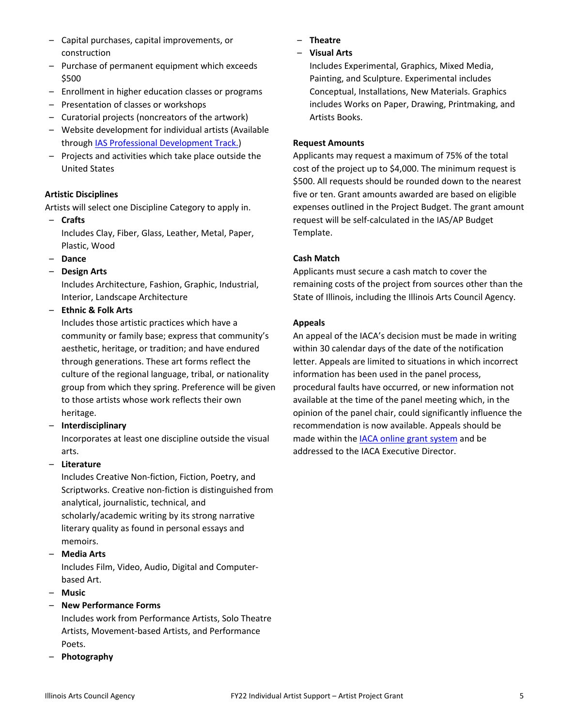- Capital purchases, capital improvements, or construction
- Purchase of permanent equipment which exceeds \$500
- Enrollment in higher education classes or programs
- Presentation of classes or workshops
- Curatorial projects (noncreators of the artwork)
- Website development for individual artists (Available through [IAS Professional Development Track.\)](http://www.arts.illinois.gov/Individual%20Artist%20Support)
- Projects and activities which take place outside the United States

# **Artistic Disciplines**

Artists will select one Discipline Category to apply in.

- **Crafts**  Includes Clay, Fiber, Glass, Leather, Metal, Paper, Plastic, Wood
- **Dance**
- **Design Arts**

Includes Architecture, Fashion, Graphic, Industrial, Interior, Landscape Architecture

– **Ethnic & Folk Arts** 

Includes those artistic practices which have a community or family base; express that community's aesthetic, heritage, or tradition; and have endured through generations. These art forms reflect the culture of the regional language, tribal, or nationality group from which they spring. Preference will be given to those artists whose work reflects their own heritage.

– **Interdisciplinary** 

Incorporates at least one discipline outside the visual arts.

# – **Literature**

Includes Creative Non-fiction, Fiction, Poetry, and Scriptworks. Creative non-fiction is distinguished from analytical, journalistic, technical, and scholarly/academic writing by its strong narrative literary quality as found in personal essays and memoirs.

– **Media Arts** 

Includes Film, Video, Audio, Digital and Computerbased Art.

- **Music**
- **New Performance Forms**

Includes work from Performance Artists, Solo Theatre Artists, Movement-based Artists, and Performance Poets.

– **Photography** 

- **Theatre**
- **Visual Arts**

Includes Experimental, Graphics, Mixed Media, Painting, and Sculpture. Experimental includes Conceptual, Installations, New Materials. Graphics includes Works on Paper, Drawing, Printmaking, and Artists Books.

# **Request Amounts**

Applicants may request a maximum of 75% of the total cost of the project up to \$4,000. The minimum request is \$500. All requests should be rounded down to the nearest five or ten. Grant amounts awarded are based on eligible expenses outlined in the Project Budget. The grant amount request will be self-calculated in the IAS/AP Budget Template.

# **Cash Match**

Applicants must secure a cash match to cover the remaining costs of the project from sources other than the State of Illinois, including the Illinois Arts Council Agency.

# **Appeals**

An appeal of the IACA's decision must be made in writing within 30 calendar days of the date of the notification letter. Appeals are limited to situations in which incorrect information has been used in the panel process, procedural faults have occurred, or new information not available at the time of the panel meeting which, in the opinion of the panel chair, could significantly influence the recommendation is now available. Appeals should be made within th[e IACA online grant system](https://arts-illinois.force.com/) and be addressed to the IACA Executive Director.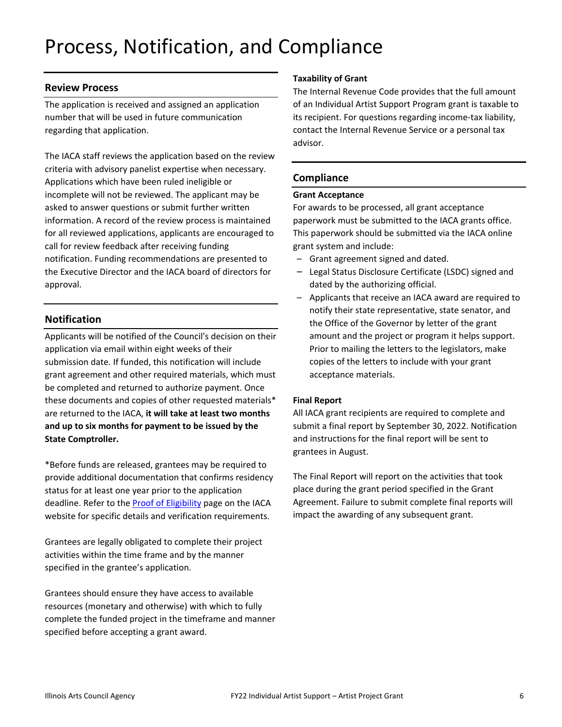# Process, Notification, and Compliance

# **Review Process**

The application is received and assigned an application number that will be used in future communication regarding that application.

The IACA staff reviews the application based on the review criteria with advisory panelist expertise when necessary. Applications which have been ruled ineligible or incomplete will not be reviewed. The applicant may be asked to answer questions or submit further written information. A record of the review process is maintained for all reviewed applications, applicants are encouraged to call for review feedback after receiving funding notification. Funding recommendations are presented to the Executive Director and the IACA board of directors for approval.

# **Notification**

Applicants will be notified of the Council's decision on their application via email within eight weeks of their submission date. If funded, this notification will include grant agreement and other required materials, which must be completed and returned to authorize payment. Once these documents and copies of other requested materials\* are returned to the IACA, **it will take at least two months and up to six months for payment to be issued by the State Comptroller.** 

\*Before funds are released, grantees may be required to provide additional documentation that confirms residency status for at least one year prior to the application deadline. Refer to the [Proof of Eligibility](http://www.arts.illinois.gov/Proof%20of%20Eligibility) page on the IACA website for specific details and verification requirements.

Grantees are legally obligated to complete their project activities within the time frame and by the manner specified in the grantee's application.

Grantees should ensure they have access to available resources (monetary and otherwise) with which to fully complete the funded project in the timeframe and manner specified before accepting a grant award.

#### **Taxability of Grant**

The Internal Revenue Code provides that the full amount of an Individual Artist Support Program grant is taxable to its recipient. For questions regarding income-tax liability, contact the Internal Revenue Service or a personal tax advisor.

# **Compliance**

#### **Grant Acceptance**

For awards to be processed, all grant acceptance paperwork must be submitted to the IACA grants office. This paperwork should be submitted via the IACA online grant system and include:

- Grant agreement signed and dated.
- Legal Status Disclosure Certificate (LSDC) signed and dated by the authorizing official.
- Applicants that receive an IACA award are required to notify their state representative, state senator, and the Office of the Governor by letter of the grant amount and the project or program it helps support. Prior to mailing the letters to the legislators, make copies of the letters to include with your grant acceptance materials.

#### **Final Report**

All IACA grant recipients are required to complete and submit a final report by September 30, 2022. Notification and instructions for the final report will be sent to grantees in August.

The Final Report will report on the activities that took place during the grant period specified in the Grant Agreement. Failure to submit complete final reports will impact the awarding of any subsequent grant.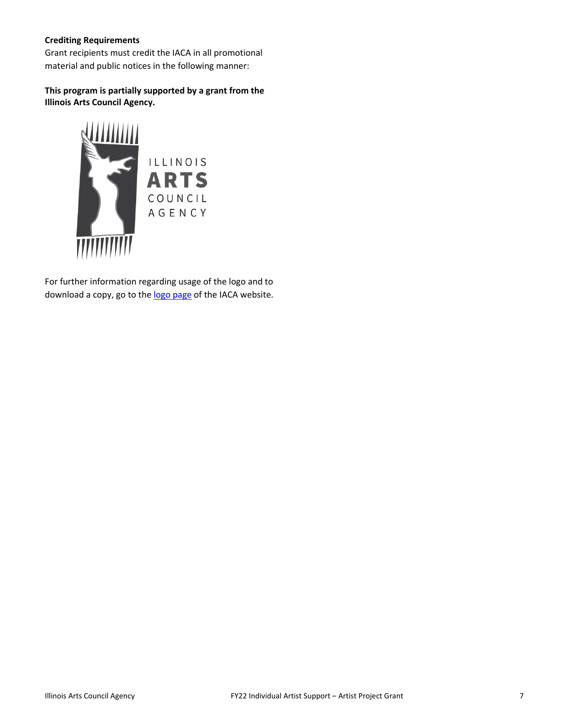# **Crediting Requirements**

Grant recipients must credit the IACA in all promotional material and public notices in the following manner:

# **This program is partially supported by a grant from the Illinois Arts Council Agency.**



For further information regarding usage of the logo and to download a copy, go to th[e logo page](http://www.arts.illinois.gov/IACLogo) of the IACA website.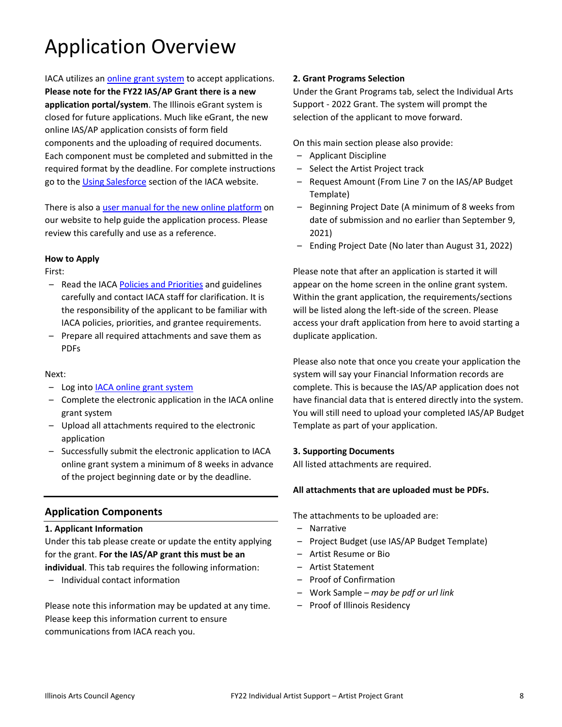# Application Overview

IACA utilizes an [online grant system](https://arts-illinois.force.com/) to accept applications. **Please note for the FY22 IAS/AP Grant there is a new application portal/system**. The Illinois eGrant system is closed for future applications. Much like eGrant, the new online IAS/AP application consists of form field components and the uploading of required documents. Each component must be completed and submitted in the required format by the deadline. For complete instructions go to the [Using Salesforce](https://arts.illinois.gov/using-salesforce) section of the IACA website.

There is also a [user manual for the new online platform](https://arts.illinois.gov/sites/default/files/content/IACA%20Applicant%20User%20Manual.pdf) on our website to help guide the application process. Please review this carefully and use as a reference.

#### **How to Apply**

First:

- Read the IACA [Policies and Priorities](http://www.arts.illinois.gov/grants-programs/funding-programs/policies-priorities) and guidelines carefully and contact IACA staff for clarification. It is the responsibility of the applicant to be familiar with IACA policies, priorities, and grantee requirements.
- Prepare all required attachments and save them as PDFs

#### Next:

- Log into **IACA online grant system**
- Complete the electronic application in the IACA online grant system
- Upload all attachments required to the electronic application
- Successfully submit the electronic application to IACA online grant system a minimum of 8 weeks in advance of the project beginning date or by the deadline.

# **Application Components**

#### **1. Applicant Information**

Under this tab please create or update the entity applying for the grant. **For the IAS/AP grant this must be an individual**. This tab requires the following information:

– Individual contact information

Please note this information may be updated at any time. Please keep this information current to ensure communications from IACA reach you.

#### **2. Grant Programs Selection**

Under the Grant Programs tab, select the Individual Arts Support - 2022 Grant. The system will prompt the selection of the applicant to move forward.

On this main section please also provide:

- Applicant Discipline
- Select the Artist Project track
- Request Amount (From Line 7 on the IAS/AP Budget Template)
- Beginning Project Date (A minimum of 8 weeks from date of submission and no earlier than September 9, 2021)
- Ending Project Date (No later than August 31, 2022)

Please note that after an application is started it will appear on the home screen in the online grant system. Within the grant application, the requirements/sections will be listed along the left-side of the screen. Please access your draft application from here to avoid starting a duplicate application.

Please also note that once you create your application the system will say your Financial Information records are complete. This is because the IAS/AP application does not have financial data that is entered directly into the system. You will still need to upload your completed IAS/AP Budget Template as part of your application.

#### **3. Supporting Documents**

All listed attachments are required.

#### **All attachments that are uploaded must be PDFs.**

The attachments to be uploaded are:

- Narrative
- Project Budget (use IAS/AP Budget Template)
- Artist Resume or Bio
- Artist Statement
- Proof of Confirmation
- Work Sample *– may be pdf or url link*
- Proof of Illinois Residency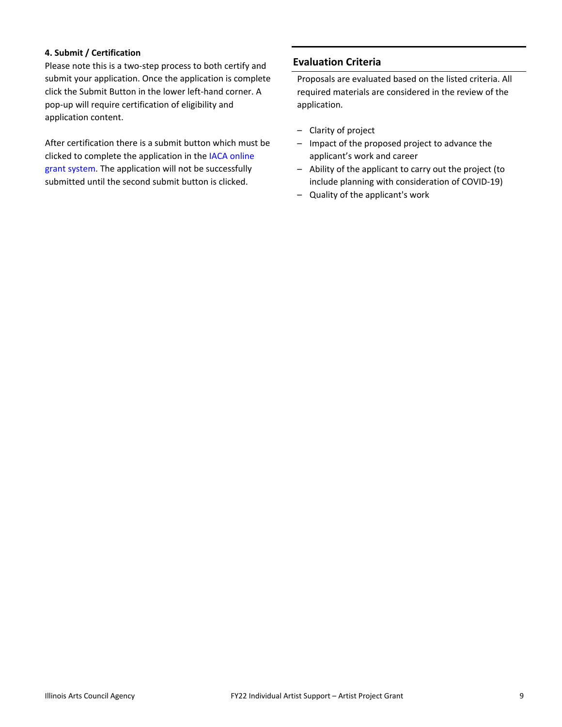#### **4. Submit / Certification**

Please note this is a two-step process to both certify and submit your application. Once the application is complete click the Submit Button in the lower left-hand corner. A pop-up will require certification of eligibility and application content.

After certification there is a submit button which must be clicked to complete the application in the [IACA online](https://arts-illinois.force.com/)  [grant system.](https://arts-illinois.force.com/) The application will not be successfully submitted until the second submit button is clicked.

# **Evaluation Criteria**

Proposals are evaluated based on the listed criteria. All required materials are considered in the review of the application.

- Clarity of project
- Impact of the proposed project to advance the applicant's work and career
- Ability of the applicant to carry out the project (to include planning with consideration of COVID-19)
- Quality of the applicant's work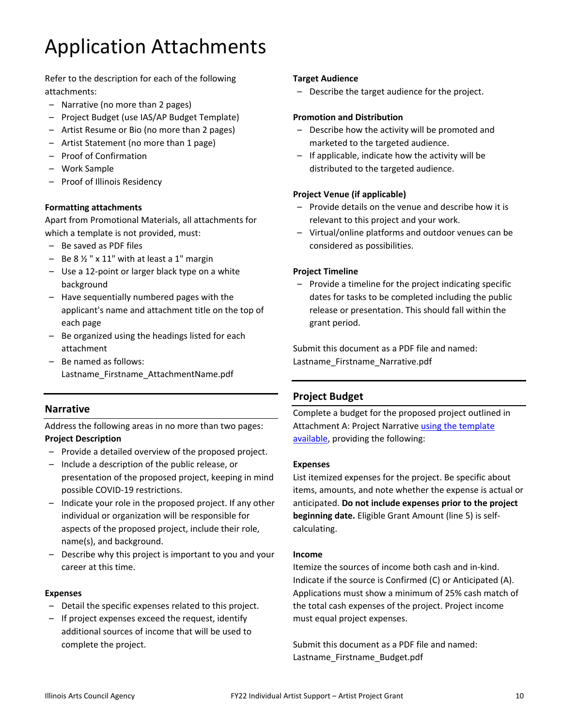# Application Attachments

Refer to the description for each of the following attachments:

- Narrative (no more than 2 pages)
- Project Budget (use IAS/AP Budget Template)
- Artist Resume or Bio (no more than 2 pages)
- Artist Statement (no more than 1 page)
- Proof of Confirmation
- Work Sample
- Proof of Illinois Residency

# **Formatting attachments**

Apart from Promotional Materials, all attachments for which a template is not provided, must:

- Be saved as PDF files
- $-$  Be 8  $\frac{1}{2}$  " x 11" with at least a 1" margin
- Use a 12-point or larger black type on a white background
- Have sequentially numbered pages with the applicant's name and attachment title on the top of each page
- Be organized using the headings listed for each attachment
- Be named as follows: Lastname\_Firstname\_AttachmentName.pdf

# **Narrative**

Address the following areas in no more than two pages:

# **Project Description**

- Provide a detailed overview of the proposed project.
- Include a description of the public release, or presentation of the proposed project, keeping in mind possible COVID-19 restrictions.
- Indicate your role in the proposed project. If any other individual or organization will be responsible for aspects of the proposed project, include their role, name(s), and background.
- Describe why this project is important to you and your career at this time.

# **Expenses**

- Detail the specific expenses related to this project.
- If project expenses exceed the request, identify additional sources of income that will be used to complete the project.

# **Target Audience**

– Describe the target audience for the project.

# **Promotion and Distribution**

- Describe how the activity will be promoted and marketed to the targeted audience.
- If applicable, indicate how the activity will be distributed to the targeted audience.

# **Project Venue (if applicable)**

- Provide details on the venue and describe how it is relevant to this project and your work.
- Virtual/online platforms and outdoor venues can be considered as possibilities.

# **Project Timeline**

– Provide a timeline for the project indicating specific dates for tasks to be completed including the public release or presentation. This should fall within the grant period.

Submit this document as a PDF file and named: Lastname\_Firstname\_Narrative.pdf

# **Project Budget**

Complete a budget for the proposed project outlined in Attachment A: Project Narrative using the template [available,](https://arts.illinois.gov/sites/default/files/content/IAS%20Budget%20Template%20AP.PDF) providing the following:

#### **Expenses**

List itemized expenses for the project. Be specific about items, amounts, and note whether the expense is actual or anticipated. **Do not include expenses prior to the project beginning date.** Eligible Grant Amount (line 5) is selfcalculating.

# **Income**

Itemize the sources of income both cash and in-kind. Indicate if the source is Confirmed (C) or Anticipated (A). Applications must show a minimum of 25% cash match of the total cash expenses of the project. Project income must equal project expenses.

Submit this document as a PDF file and named: Lastname\_Firstname\_Budget.pdf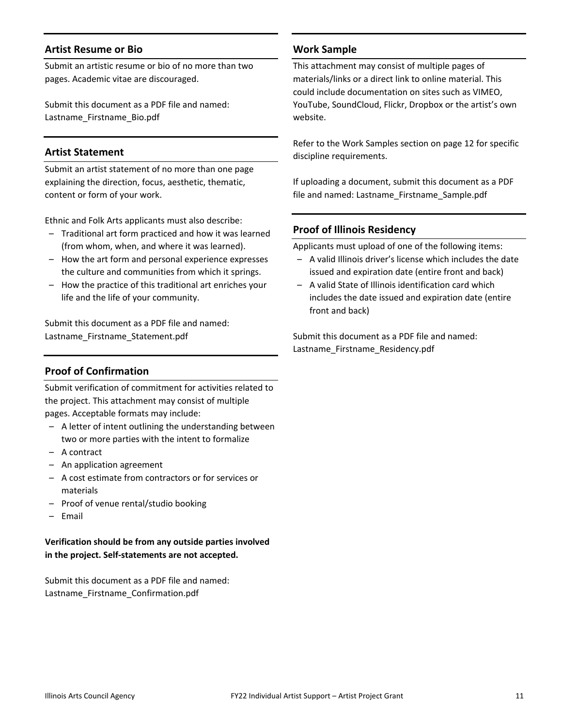# **Artist Resume or Bio**

Submit an artistic resume or bio of no more than two pages. Academic vitae are discouraged.

Submit this document as a PDF file and named: Lastname\_Firstname\_Bio.pdf

# **Artist Statement**

Submit an artist statement of no more than one page explaining the direction, focus, aesthetic, thematic, content or form of your work.

Ethnic and Folk Arts applicants must also describe:

- Traditional art form practiced and how it was learned (from whom, when, and where it was learned).
- How the art form and personal experience expresses the culture and communities from which it springs.
- How the practice of this traditional art enriches your life and the life of your community.

Submit this document as a PDF file and named: Lastname\_Firstname\_Statement.pdf

# **Proof of Confirmation**

Submit verification of commitment for activities related to the project. This attachment may consist of multiple pages. Acceptable formats may include:

- A letter of intent outlining the understanding between two or more parties with the intent to formalize
- A contract
- An application agreement
- A cost estimate from contractors or for services or materials
- Proof of venue rental/studio booking
- Email

**Verification should be from any outside parties involved in the project. Self-statements are not accepted.**

Submit this document as a PDF file and named: Lastname\_Firstname\_Confirmation.pdf

#### **Work Sample**

This attachment may consist of multiple pages of materials/links or a direct link to online material. This could include documentation on sites such as VIMEO, YouTube, SoundCloud, Flickr, Dropbox or the artist's own website.

Refer to the Work Samples section on page 12 for specific discipline requirements.

If uploading a document, submit this document as a PDF file and named: Lastname Firstname Sample.pdf

#### **Proof of Illinois Residency**

Applicants must upload of one of the following items:

- A valid Illinois driver's license which includes the date issued and expiration date (entire front and back)
- A valid State of Illinois identification card which includes the date issued and expiration date (entire front and back)

Submit this document as a PDF file and named: Lastname\_Firstname\_Residency.pdf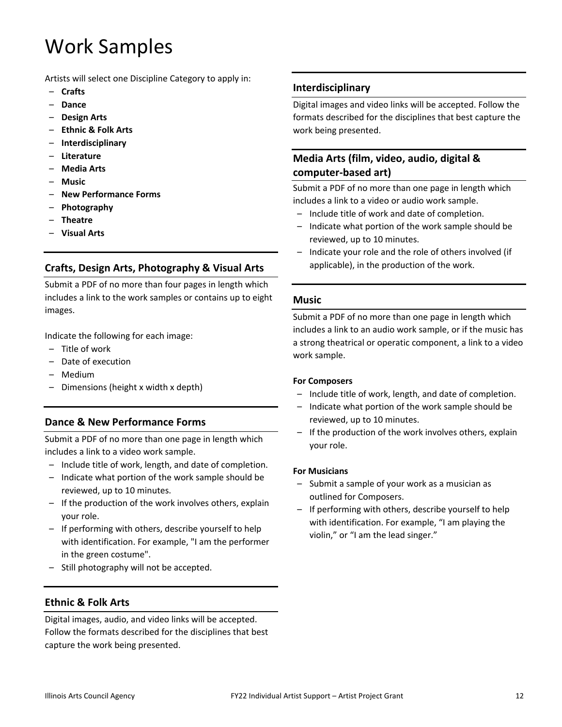# Work Samples

Artists will select one Discipline Category to apply in:

- **Crafts**
- **Dance**
- **Design Arts**
- **Ethnic & Folk Arts**
- **Interdisciplinary**
- **Literature**
- **Media Arts**
- **Music**
- **New Performance Forms**
- **Photography**
- **Theatre**
- **Visual Arts**

# **Crafts, Design Arts, Photography & Visual Arts**

Submit a PDF of no more than four pages in length which includes a link to the work samples or contains up to eight images.

Indicate the following for each image:

- Title of work
- Date of execution
- Medium
- Dimensions (height x width x depth)

# **Dance & New Performance Forms**

Submit a PDF of no more than one page in length which includes a link to a video work sample.

- Include title of work, length, and date of completion.
- Indicate what portion of the work sample should be reviewed, up to 10 minutes.
- If the production of the work involves others, explain your role.
- If performing with others, describe yourself to help with identification. For example, "I am the performer in the green costume".
- Still photography will not be accepted.

# **Ethnic & Folk Arts**

Digital images, audio, and video links will be accepted. Follow the formats described for the disciplines that best capture the work being presented.

# **Interdisciplinary**

Digital images and video links will be accepted. Follow the formats described for the disciplines that best capture the work being presented.

# **Media Arts (film, video, audio, digital & computer-based art)**

Submit a PDF of no more than one page in length which includes a link to a video or audio work sample.

- Include title of work and date of completion.
- Indicate what portion of the work sample should be reviewed, up to 10 minutes.
- Indicate your role and the role of others involved (if applicable), in the production of the work.

#### **Music**

Submit a PDF of no more than one page in length which includes a link to an audio work sample, or if the music has a strong theatrical or operatic component, a link to a video work sample.

#### **For Composers**

- Include title of work, length, and date of completion.
- Indicate what portion of the work sample should be reviewed, up to 10 minutes.
- If the production of the work involves others, explain your role.

#### **For Musicians**

- Submit a sample of your work as a musician as outlined for Composers.
- If performing with others, describe yourself to help with identification. For example, "I am playing the violin," or "I am the lead singer."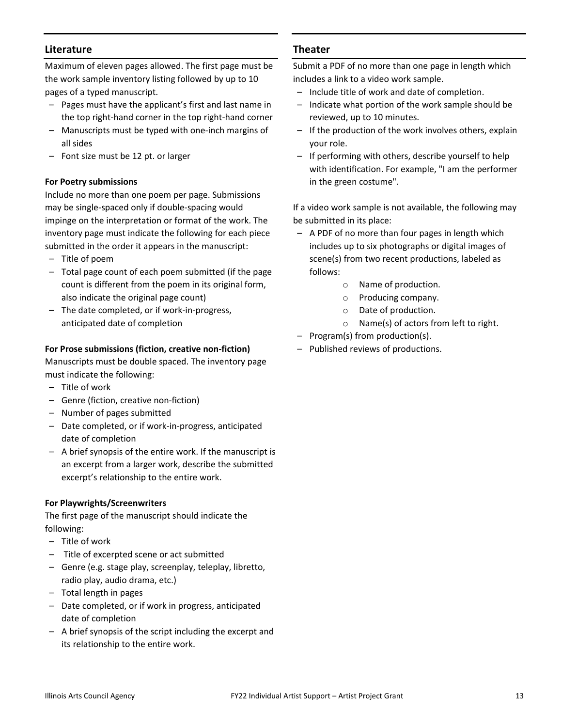# **Literature**

Maximum of eleven pages allowed. The first page must be the work sample inventory listing followed by up to 10 pages of a typed manuscript.

- Pages must have the applicant's first and last name in the top right-hand corner in the top right-hand corner
- Manuscripts must be typed with one-inch margins of all sides
- Font size must be 12 pt. or larger

# **For Poetry submissions**

Include no more than one poem per page. Submissions may be single-spaced only if double-spacing would impinge on the interpretation or format of the work. The inventory page must indicate the following for each piece submitted in the order it appears in the manuscript:

- Title of poem
- Total page count of each poem submitted (if the page count is different from the poem in its original form, also indicate the original page count)
- The date completed, or if work-in-progress, anticipated date of completion

# **For Prose submissions (fiction, creative non-fiction)**

Manuscripts must be double spaced. The inventory page must indicate the following:

- Title of work
- Genre (fiction, creative non-fiction)
- Number of pages submitted
- Date completed, or if work-in-progress, anticipated date of completion
- A brief synopsis of the entire work. If the manuscript is an excerpt from a larger work, describe the submitted excerpt's relationship to the entire work.

# **For Playwrights/Screenwriters**

The first page of the manuscript should indicate the following:

- Title of work
- Title of excerpted scene or act submitted
- Genre (e.g. stage play, screenplay, teleplay, libretto, radio play, audio drama, etc.)
- Total length in pages
- Date completed, or if work in progress, anticipated date of completion
- A brief synopsis of the script including the excerpt and its relationship to the entire work.

# **Theater**

Submit a PDF of no more than one page in length which includes a link to a video work sample.

- Include title of work and date of completion.
- Indicate what portion of the work sample should be reviewed, up to 10 minutes.
- If the production of the work involves others, explain your role.
- If performing with others, describe yourself to help with identification. For example, "I am the performer in the green costume".

If a video work sample is not available, the following may be submitted in its place:

- A PDF of no more than four pages in length which includes up to six photographs or digital images of scene(s) from two recent productions, labeled as follows:
	- o Name of production.
	- o Producing company.
	- o Date of production.
	- o Name(s) of actors from left to right.
- Program(s) from production(s).
- Published reviews of productions.